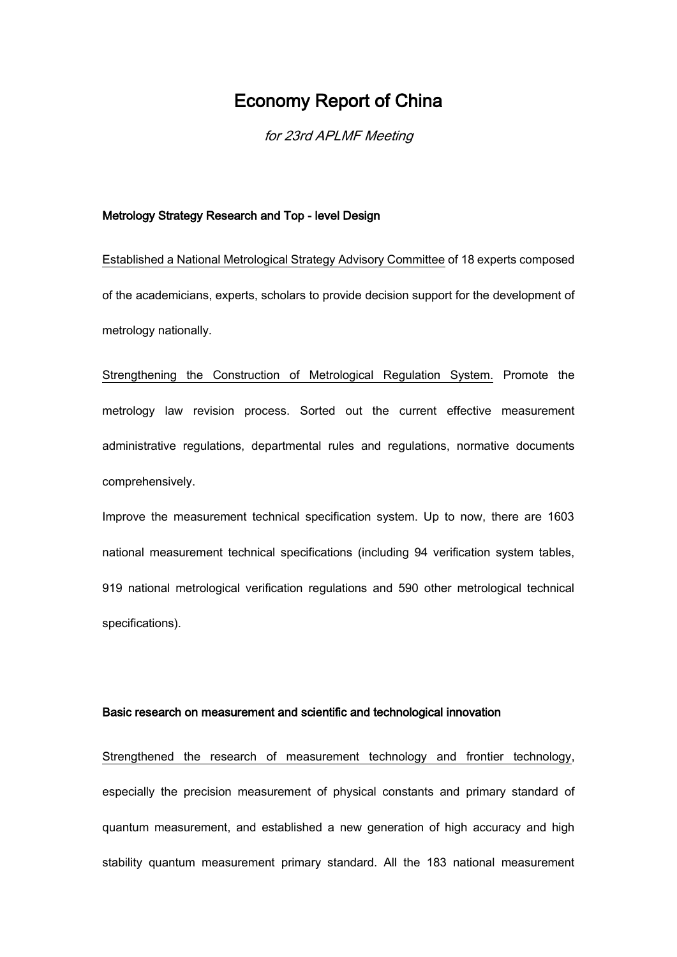# Economy Report of China

for 23rd APLMF Meeting

### Metrology Strategy Research and Top - level Design

Established a National Metrological Strategy Advisory Committee of 18 experts composed of the academicians, experts, scholars to provide decision support for the development of metrology nationally.

Strengthening the Construction of Metrological Regulation System. Promote the metrology law revision process. Sorted out the current effective measurement administrative regulations, departmental rules and regulations, normative documents comprehensively.

Improve the measurement technical specification system. Up to now, there are 1603 national measurement technical specifications (including 94 verification system tables, 919 national metrological verification regulations and 590 other metrological technical specifications).

# Basic research on measurement and scientific and technological innovation

Strengthened the research of measurement technology and frontier technology, especially the precision measurement of physical constants and primary standard of quantum measurement, and established a new generation of high accuracy and high stability quantum measurement primary standard. All the 183 national measurement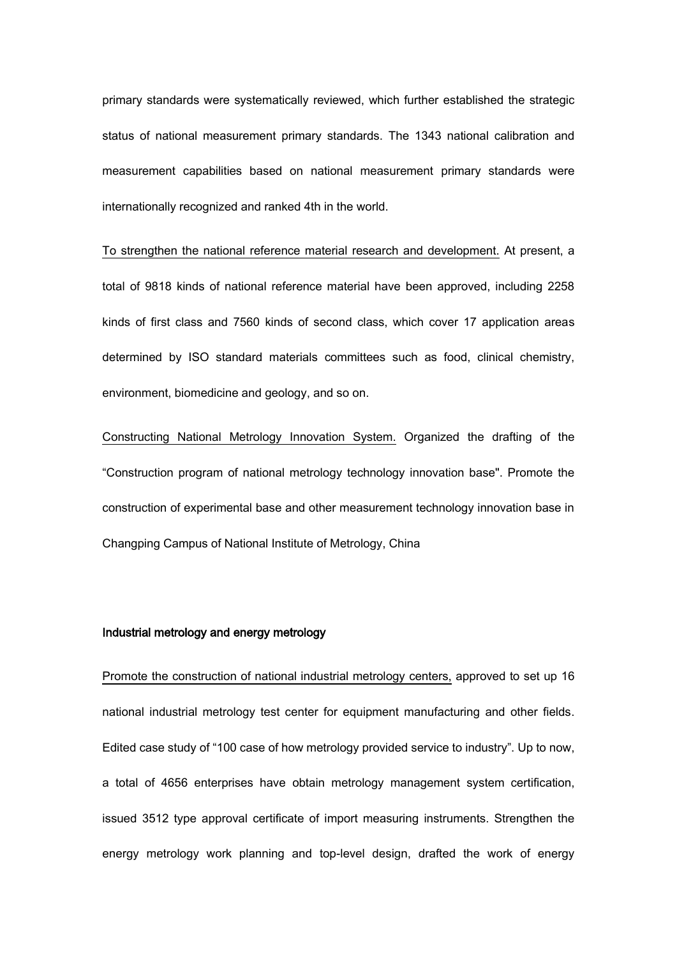primary standards were systematically reviewed, which further established the strategic status of national measurement primary standards. The 1343 national calibration and measurement capabilities based on national measurement primary standards were internationally recognized and ranked 4th in the world.

To strengthen the national reference material research and development. At present, a total of 9818 kinds of national reference material have been approved, including 2258 kinds of first class and 7560 kinds of second class, which cover 17 application areas determined by ISO standard materials committees such as food, clinical chemistry, environment, biomedicine and geology, and so on.

Constructing National Metrology Innovation System. Organized the drafting of the "Construction program of national metrology technology innovation base". Promote the construction of experimental base and other measurement technology innovation base in Changping Campus of National Institute of Metrology, China

# Industrial metrology and energy metrology

Promote the construction of national industrial metrology centers, approved to set up 16 national industrial metrology test center for equipment manufacturing and other fields. Edited case study of "100 case of how metrology provided service to industry". Up to now, a total of 4656 enterprises have obtain metrology management system certification, issued 3512 type approval certificate of import measuring instruments. Strengthen the energy metrology work planning and top-level design, drafted the work of energy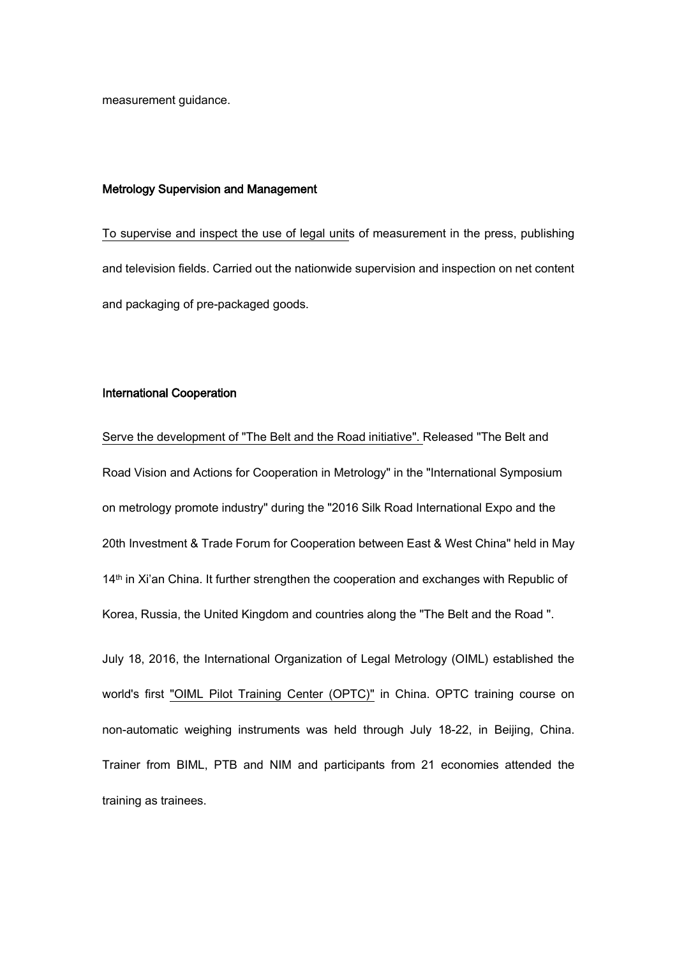measurement guidance.

#### Metrology Supervision and Management

To supervise and inspect the use of legal units of measurement in the press, publishing and television fields. Carried out the nationwide supervision and inspection on net content and packaging of pre-packaged goods.

### International Cooperation

Serve the development of "The Belt and the Road initiative". Released "The Belt and Road Vision and Actions for Cooperation in Metrology" in the "International Symposium on metrology promote industry" during the "2016 Silk Road International Expo and the 20th Investment & Trade Forum for Cooperation between East & West China" held in May 14<sup>th</sup> in Xi'an China. It further strengthen the cooperation and exchanges with Republic of Korea, Russia, the United Kingdom and countries along the "The Belt and the Road ".

July 18, 2016, the International Organization of Legal Metrology (OIML) established the world's first "OIML Pilot Training Center (OPTC)" in China. OPTC training course on non-automatic weighing instruments was held through July 18-22, in Beijing, China. Trainer from BIML, PTB and NIM and participants from 21 economies attended the training as trainees.